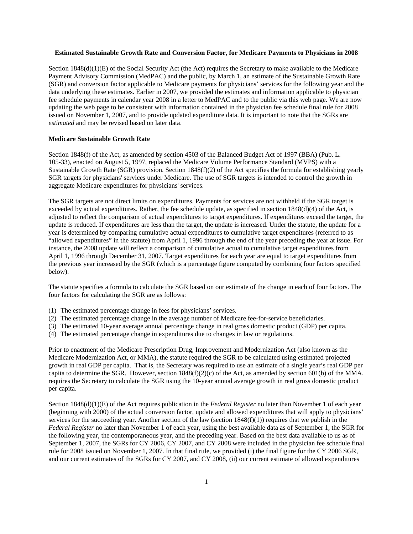## **Estimated Sustainable Growth Rate and Conversion Factor, for Medicare Payments to Physicians in 2008**

Section 1848(d)(1)(E) of the Social Security Act (the Act) requires the Secretary to make available to the Medicare Payment Advisory Commission (MedPAC) and the public, by March 1, an estimate of the Sustainable Growth Rate (SGR) and conversion factor applicable to Medicare payments for physicians' services for the following year and the data underlying these estimates. Earlier in 2007, we provided the estimates and information applicable to physician fee schedule payments in calendar year 2008 in a letter to MedPAC and to the public via this web page. We are now updating the web page to be consistent with information contained in the physician fee schedule final rule for 2008 issued on November 1, 2007, and to provide updated expenditure data. It is important to note that the SGRs are *estimated* and may be revised based on later data.

#### **Medicare Sustainable Growth Rate**

Section 1848(f) of the Act, as amended by section 4503 of the Balanced Budget Act of 1997 (BBA) (Pub. L. 105-33), enacted on August 5, 1997, replaced the Medicare Volume Performance Standard (MVPS) with a Sustainable Growth Rate (SGR) provision. Section 1848(f)(2) of the Act specifies the formula for establishing yearly SGR targets for physicians' services under Medicare. The use of SGR targets is intended to control the growth in aggregate Medicare expenditures for physicians' services.

The SGR targets are not direct limits on expenditures. Payments for services are not withheld if the SGR target is exceeded by actual expenditures. Rather, the fee schedule update, as specified in section 1848(d)(4) of the Act, is adjusted to reflect the comparison of actual expenditures to target expenditures. If expenditures exceed the target, the update is reduced. If expenditures are less than the target, the update is increased. Under the statute, the update for a year is determined by comparing cumulative actual expenditures to cumulative target expenditures (referred to as "allowed expenditures" in the statute) from April 1, 1996 through the end of the year preceding the year at issue. For instance, the 2008 update will reflect a comparison of cumulative actual to cumulative target expenditures from April 1, 1996 through December 31, 2007. Target expenditures for each year are equal to target expenditures from the previous year increased by the SGR (which is a percentage figure computed by combining four factors specified below).

The statute specifies a formula to calculate the SGR based on our estimate of the change in each of four factors. The four factors for calculating the SGR are as follows:

- (1) The estimated percentage change in fees for physicians' services.
- (2) The estimated percentage change in the average number of Medicare fee-for-service beneficiaries.
- (3) The estimated 10-year average annual percentage change in real gross domestic product (GDP) per capita.
- (4) The estimated percentage change in expenditures due to changes in law or regulations.

Prior to enactment of the Medicare Prescription Drug, Improvement and Modernization Act (also known as the Medicare Modernization Act, or MMA), the statute required the SGR to be calculated using estimated projected growth in real GDP per capita. That is, the Secretary was required to use an estimate of a single year's real GDP per capita to determine the SGR. However, section  $1848(f)(2)(c)$  of the Act, as amended by section 601(b) of the MMA, requires the Secretary to calculate the SGR using the 10-year annual average growth in real gross domestic product per capita.

Section 1848(d)(1)(E) of the Act requires publication in the *Federal Register* no later than November 1 of each year (beginning with 2000) of the actual conversion factor, update and allowed expenditures that will apply to physicians' services for the succeeding year. Another section of the law (section  $1848(f)(1)$ ) requires that we publish in the *Federal Register* no later than November 1 of each year, using the best available data as of September 1, the SGR for the following year, the contemporaneous year, and the preceding year. Based on the best data available to us as of September 1, 2007, the SGRs for CY 2006, CY 2007, and CY 2008 were included in the physician fee schedule final rule for 2008 issued on November 1, 2007. In that final rule, we provided (i) the final figure for the CY 2006 SGR, and our current estimates of the SGRs for CY 2007, and CY 2008, (ii) our current estimate of allowed expenditures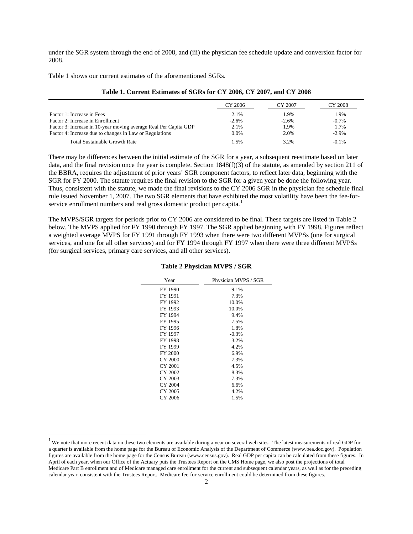under the SGR system through the end of 2008, and (iii) the physician fee schedule update and conversion factor for 2008.

Table 1 shows our current estimates of the aforementioned SGRs.

 $\overline{a}$ 

|                                                                  | CY 2006 | CY 2007 | CY 2008  |
|------------------------------------------------------------------|---------|---------|----------|
| Factor 1: Increase in Fees                                       | 2.1%    | 1.9%    | 1.9%     |
| Factor 2: Increase in Enrollment                                 | $-2.6%$ | $-2.6%$ | $-0.7%$  |
| Factor 3: Increase in 10-year moving average Real Per Capita GDP | 2.1%    | 1.9%    | 1.7%     |
| Factor 4: Increase due to changes in Law or Regulations          | 0.0%    | 2.0%    | $-2.9\%$ |
| <b>Total Sustainable Growth Rate</b>                             | 1.5%    | 3.2%    | $-0.1\%$ |

| Table 1. Current Estimates of SGRs for CY 2006, CY 2007, and CY 2008 |  |  |
|----------------------------------------------------------------------|--|--|
|----------------------------------------------------------------------|--|--|

There may be differences between the initial estimate of the SGR for a year, a subsequent reestimate based on later data, and the final revision once the year is complete. Section 1848(f)(3) of the statute, as amended by section 211 of the BBRA, requires the adjustment of prior years' SGR component factors, to reflect later data, beginning with the SGR for FY 2000. The statute requires the final revision to the SGR for a given year be done the following year. Thus, consistent with the statute, we made the final revisions to the CY 2006 SGR in the physician fee schedule final rule issued November 1, 2007. The two SGR elements that have exhibited the most volatility have been the fee-for-service enrollment numbers and real gross domestic product per capita.<sup>[1](#page-1-0)</sup>

The MVPS/SGR targets for periods prior to CY 2006 are considered to be final. These targets are listed in Table 2 below. The MVPS applied for FY 1990 through FY 1997. The SGR applied beginning with FY 1998. Figures reflect a weighted average MVPS for FY 1991 through FY 1993 when there were two different MVPSs (one for surgical services, and one for all other services) and for FY 1994 through FY 1997 when there were three different MVPSs (for surgical services, primary care services, and all other services).

|                | Table 2 Physician MVPS / SGR |  |
|----------------|------------------------------|--|
| Year           | Physician MVPS / SGR         |  |
| FY 1990        | 9.1%                         |  |
| FY 1991        | 7.3%                         |  |
| FY 1992        | 10.0%                        |  |
| FY 1993        | 10.0%                        |  |
| FY 1994        | 9.4%                         |  |
| FY 1995        | 7.5%                         |  |
| FY 1996        | 1.8%                         |  |
| FY 1997        | $-0.3%$                      |  |
| FY 1998        | 3.2%                         |  |
| FY 1999        | 4.2%                         |  |
| FY 2000        | 6.9%                         |  |
| <b>CY 2000</b> | 7.3%                         |  |
| CY 2001        | 4.5%                         |  |
| CY 2002        | 8.3%                         |  |
| CY 2003        | 7.3%                         |  |
| CY 2004        | 6.6%                         |  |
| CY 2005        | 4.2%                         |  |
| CY 2006        | 1.5%                         |  |
|                |                              |  |

## **Table 2 Physician MVPS / SGR**

<span id="page-1-0"></span> $<sup>1</sup>$  We note that more recent data on these two elements are available during a year on several web sites. The latest measurements of real GDP for</sup> a quarter is available from the home page for the Bureau of Economic Analysis of the Department of Commerce (www.bea.doc.gov). Population figures are available from the home page for the Census Bureau (www.census.gov). Real GDP per capita can be calculated from these figures. In April of each year, when our Office of the Actuary puts the Trustees Report on the CMS Home page, we also post the projections of total Medicare Part B enrollment and of Medicare managed care enrollment for the current and subsequent calendar years, as well as for the preceding calendar year, consistent with the Trustees Report. Medicare fee-for-service enrollment could be determined from these figures.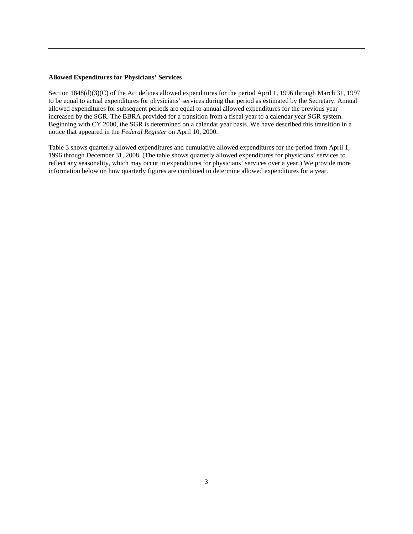### **Allowed Expenditures for Physicians' Services**

Section 1848(d)(3)(C) of the Act defines allowed expenditures for the period April 1, 1996 through March 31, 1997 to be equal to actual expenditures for physicians' services during that period as estimated by the Secretary. Annual allowed expenditures for subsequent periods are equal to annual allowed expenditures for the previous year increased by the SGR. The BBRA provided for a transition from a fiscal year to a calendar year SGR system. Beginning with CY 2000, the SGR is determined on a calendar year basis. We have described this transition in a notice that appeared in the *Federal Register* on April 10, 2000.

Table 3 shows quarterly allowed expenditures and cumulative allowed expenditures for the period from April 1, 1996 through December 31, 2008. (The table shows quarterly allowed expenditures for physicians' services to reflect any seasonality, which may occur in expenditures for physicians' services over a year.) We provide more information below on how quarterly figures are combined to determine allowed expenditures for a year.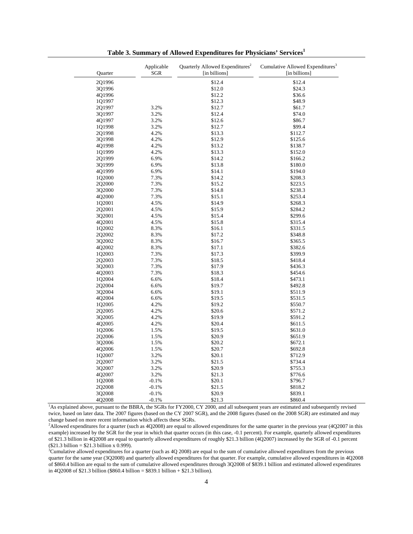| Quarter | Applicable<br>SGR | Quarterly Allowed Expenditures <sup>2</sup><br>[in billions] | Cumulative Allowed Expenditures <sup>3</sup><br>[in billions]                                                                                        |
|---------|-------------------|--------------------------------------------------------------|------------------------------------------------------------------------------------------------------------------------------------------------------|
| 2Q1996  |                   | \$12.4                                                       | \$12.4                                                                                                                                               |
| 3Q1996  |                   | \$12.0                                                       | \$24.3                                                                                                                                               |
| 4Q1996  |                   | \$12.2                                                       | \$36.6                                                                                                                                               |
| 1Q1997  |                   | \$12.3                                                       | \$48.9                                                                                                                                               |
| 2Q1997  | 3.2%              | \$12.7                                                       | \$61.7                                                                                                                                               |
| 3Q1997  | 3.2%              | \$12.4                                                       | \$74.0                                                                                                                                               |
| 4Q1997  | 3.2%              | \$12.6                                                       | \$86.7                                                                                                                                               |
| 1Q1998  | 3.2%              | \$12.7                                                       | \$99.4                                                                                                                                               |
| 2Q1998  | 4.2%              | \$13.3                                                       | \$112.7                                                                                                                                              |
| 3Q1998  | 4.2%              | \$12.9                                                       | \$125.6                                                                                                                                              |
| 4Q1998  | 4.2%              | \$13.2                                                       | \$138.7                                                                                                                                              |
| 1Q1999  | 4.2%              | \$13.3                                                       | \$152.0                                                                                                                                              |
|         | 6.9%              |                                                              |                                                                                                                                                      |
| 2Q1999  |                   | \$14.2                                                       | \$166.2                                                                                                                                              |
| 3Q1999  | 6.9%              | \$13.8                                                       | \$180.0                                                                                                                                              |
| 4Q1999  | 6.9%              | \$14.1                                                       | \$194.0                                                                                                                                              |
| 1Q2000  | 7.3%              | \$14.2                                                       | \$208.3                                                                                                                                              |
| 2Q2000  | 7.3%              | \$15.2                                                       | \$223.5                                                                                                                                              |
| 3Q2000  | 7.3%              | \$14.8                                                       | \$238.3                                                                                                                                              |
| 4Q2000  | 7.3%              | \$15.1                                                       | \$253.4                                                                                                                                              |
| 1Q2001  | 4.5%              | \$14.9                                                       | \$268.3                                                                                                                                              |
| 2Q2001  | 4.5%              | \$15.9                                                       | \$284.2                                                                                                                                              |
| 3Q2001  | 4.5%              | \$15.4                                                       | \$299.6                                                                                                                                              |
| 4Q2001  | 4.5%              | \$15.8                                                       | \$315.4                                                                                                                                              |
| 1Q2002  | 8.3%              | \$16.1                                                       | \$331.5                                                                                                                                              |
| 2Q2002  | 8.3%              | \$17.2                                                       | \$348.8                                                                                                                                              |
| 3Q2002  | 8.3%              | \$16.7                                                       | \$365.5                                                                                                                                              |
| 4Q2002  | 8.3%              | \$17.1                                                       | \$382.6                                                                                                                                              |
| 1Q2003  | 7.3%              | \$17.3                                                       | \$399.9                                                                                                                                              |
| 2Q2003  | 7.3%              | \$18.5                                                       | \$418.4                                                                                                                                              |
| 3Q2003  | 7.3%              | \$17.9                                                       | \$436.3                                                                                                                                              |
| 4Q2003  | 7.3%              | \$18.3                                                       | \$454.6                                                                                                                                              |
| 1Q2004  | 6.6%              | \$18.4                                                       | \$473.1                                                                                                                                              |
| 2Q2004  | 6.6%              | \$19.7                                                       | \$492.8                                                                                                                                              |
| 3Q2004  | 6.6%              | \$19.1                                                       | \$511.9                                                                                                                                              |
| 4Q2004  | 6.6%              | \$19.5                                                       | \$531.5                                                                                                                                              |
| 1Q2005  | 4.2%              | \$19.2                                                       | \$550.7                                                                                                                                              |
| 2Q2005  | 4.2%              | \$20.6                                                       | \$571.2                                                                                                                                              |
| 3Q2005  | 4.2%              | \$19.9                                                       | \$591.2                                                                                                                                              |
| 4Q2005  | 4.2%              | \$20.4                                                       | \$611.5                                                                                                                                              |
| 1Q2006  | 1.5%              | \$19.5                                                       | \$631.0                                                                                                                                              |
|         |                   |                                                              |                                                                                                                                                      |
| 2Q2006  | 1.5%              | \$20.9                                                       | \$651.9                                                                                                                                              |
| 3Q2006  | 1.5%              | \$20.2                                                       | \$672.1                                                                                                                                              |
| 4Q2006  | 1.5%              | \$20.7                                                       | \$692.8                                                                                                                                              |
| 1Q2007  | 3.2%              | \$20.1                                                       | \$712.9                                                                                                                                              |
| 2Q2007  | 3.2%              | \$21.5                                                       | \$734.4                                                                                                                                              |
| 3Q2007  | 3.2%              | \$20.9                                                       | \$755.3                                                                                                                                              |
| 4Q2007  | 3.2%              | \$21.3                                                       | \$776.6                                                                                                                                              |
| 1Q2008  | $-0.1%$           | \$20.1                                                       | \$796.7                                                                                                                                              |
| 2Q2008  | $-0.1%$           | \$21.5                                                       | \$818.2                                                                                                                                              |
| 3Q2008  | $-0.1%$           | \$20.9                                                       | \$839.1                                                                                                                                              |
| 4Q2008  | $-0.1%$           | \$21.3                                                       | \$860.4                                                                                                                                              |
|         |                   |                                                              | <sup>1</sup> As explained above, pursuant to the BBRA, the SGRs for FY2000, CY 2000, and all subsequent years are estimated and subsequently revised |

**Table 3. Summary of Allowed Expenditures for Physicians' Services1** 

twice, based on later data. The 2007 figures (based on the CY 2007 SGR), and the 2008 figures (based on the 2008 SGR) are estimated and may change based on more recent information which affects these SGRs.

<sup>2</sup>Allowed expenditures for a quarter (such as 4Q2008) are equal to allowed expenditures for the same quarter in the previous year (4Q2007 in this example) increased by the SGR for the year in which that quarter occurs (in this case, -0.1 percent). For example, quarterly allowed expenditures of \$21.3 billion in 4Q2008 are equal to quarterly allowed expenditures of roughly \$21.3 billion (4Q2007) increased by the SGR of -0.1 percent  $($21.3 billion = $21.3 billion x 0.999).$ 

 ${}^{3}$ Cumulative allowed expenditures for a quarter (such as 4Q 2008) are equal to the sum of cumulative allowed expenditures from the previous quarter for the same year (3Q2008) and quarterly allowed expenditures for that quarter. For example, cumulative allowed expenditures in 4Q2008 of \$860.4 billion are equal to the sum of cumulative allowed expenditures through 3Q2008 of \$839.1 billion and estimated allowed expenditures in 4Q2008 of \$21.3 billion (\$860.4 billion = \$839.1 billion + \$21.3 billion).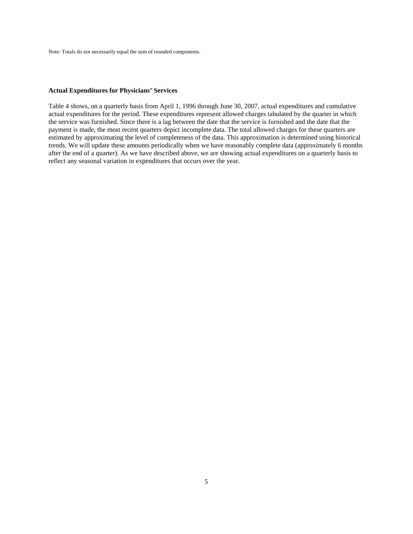Note: Totals do not necessarily equal the sum of rounded components.

### **Actual Expenditures for Physicians' Services**

Table 4 shows, on a quarterly basis from April 1, 1996 through June 30, 2007, actual expenditures and cumulative actual expenditures for the period. These expenditures represent allowed charges tabulated by the quarter in which the service was furnished. Since there is a lag between the date that the service is furnished and the date that the payment is made, the most recent quarters depict incomplete data. The total allowed charges for these quarters are estimated by approximating the level of completeness of the data. This approximation is determined using historical trends. We will update these amounts periodically when we have reasonably complete data (approximately 6 months after the end of a quarter). As we have described above, we are showing actual expenditures on a quarterly basis to reflect any seasonal variation in expenditures that occurs over the year.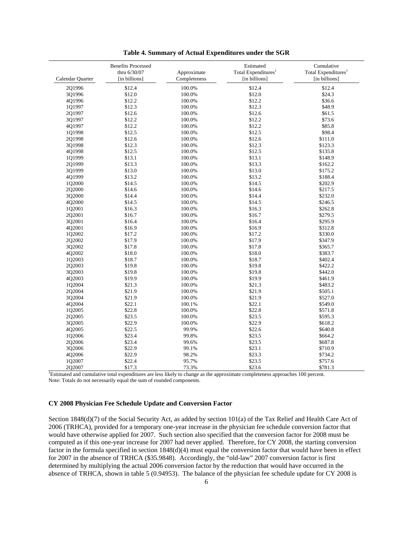|                  | <b>Benefits Processed</b><br>thru 6/30/07 | Approximate  | Estimated<br>Total Expenditures <sup>1</sup>                                                                                  | Cumulative<br>Total Expenditures <sup>1</sup> |
|------------------|-------------------------------------------|--------------|-------------------------------------------------------------------------------------------------------------------------------|-----------------------------------------------|
| Calendar Quarter | [in billions]                             | Completeness | [in billions]                                                                                                                 | [in billions]                                 |
| 2Q1996           | \$12.4                                    | 100.0%       | \$12.4                                                                                                                        | \$12.4                                        |
| 3Q1996           | \$12.0                                    | 100.0%       | \$12.0                                                                                                                        | \$24.3                                        |
| 4Q1996           | \$12.2                                    | 100.0%       | \$12.2                                                                                                                        | \$36.6                                        |
| 1Q1997           | \$12.3                                    | 100.0%       | \$12.3                                                                                                                        | \$48.9                                        |
| 2Q1997           | \$12.6                                    | 100.0%       | \$12.6                                                                                                                        | \$61.5                                        |
| 3Q1997           | \$12.2                                    | 100.0%       | \$12.2                                                                                                                        | \$73.6                                        |
| 4Q1997           | \$12.2                                    | 100.0%       | \$12.2                                                                                                                        | \$85.8                                        |
| 1Q1998           | \$12.5                                    | 100.0%       | \$12.5                                                                                                                        | \$98.4                                        |
| 2Q1998           | \$12.6                                    | 100.0%       | \$12.6                                                                                                                        | \$111.0                                       |
| 3Q1998           | \$12.3                                    | 100.0%       | \$12.3                                                                                                                        | \$123.3                                       |
| 4Q1998           | \$12.5                                    | 100.0%       | \$12.5                                                                                                                        | \$135.8                                       |
| 1Q1999           | \$13.1                                    | 100.0%       | \$13.1                                                                                                                        | \$148.9                                       |
| 2Q1999           | \$13.3                                    | 100.0%       | \$13.3                                                                                                                        | \$162.2                                       |
| 301999           | \$13.0                                    | 100.0%       | \$13.0                                                                                                                        | \$175.2                                       |
| 4Q1999           | \$13.2                                    | 100.0%       | \$13.2                                                                                                                        | \$188.4                                       |
| 1Q2000           | \$14.5                                    | 100.0%       | \$14.5                                                                                                                        | \$202.9                                       |
| 2Q2000           | \$14.6                                    | 100.0%       | \$14.6                                                                                                                        | \$217.5                                       |
| 3Q2000           | \$14.4                                    | 100.0%       | \$14.4                                                                                                                        | \$232.0                                       |
| 4Q2000           | \$14.5                                    | 100.0%       | \$14.5                                                                                                                        | \$246.5                                       |
| 1Q2001           | \$16.3                                    | 100.0%       | \$16.3                                                                                                                        | \$262.8                                       |
| 2Q2001           | \$16.7                                    | 100.0%       | \$16.7                                                                                                                        | \$279.5                                       |
| 3Q2001           | \$16.4                                    | 100.0%       | \$16.4                                                                                                                        | \$295.9                                       |
| 4Q2001           | \$16.9                                    | 100.0%       | \$16.9                                                                                                                        | \$312.8                                       |
| 1Q2002           | \$17.2                                    | 100.0%       | \$17.2                                                                                                                        | \$330.0                                       |
| 2Q2002           | \$17.9                                    | 100.0%       | \$17.9                                                                                                                        | \$347.9                                       |
| 3Q2002           | \$17.8                                    | 100.0%       | \$17.8                                                                                                                        | \$365.7                                       |
| 4Q2002           | \$18.0                                    | 100.0%       | \$18.0                                                                                                                        | \$383.7                                       |
| 1Q2003           | \$18.7                                    | 100.0%       | \$18.7                                                                                                                        | \$402.4                                       |
| 2Q2003           | \$19.8                                    | 100.0%       | \$19.8                                                                                                                        | \$422.2                                       |
| 3Q2003           | \$19.8                                    | 100.0%       | \$19.8                                                                                                                        | \$442.0                                       |
| 4Q2003           | \$19.9                                    | 100.0%       | \$19.9                                                                                                                        | \$461.9                                       |
| 1Q2004           | \$21.3                                    | 100.0%       | \$21.3                                                                                                                        | \$483.2                                       |
| 2Q2004           | \$21.9                                    | 100.0%       | \$21.9                                                                                                                        | \$505.1                                       |
| 3Q2004           | \$21.9                                    | 100.0%       | \$21.9                                                                                                                        | \$527.0                                       |
| 4Q2004           | \$22.1                                    | 100.1%       | \$22.1                                                                                                                        | \$549.0                                       |
| 1Q2005           | \$22.8                                    | 100.0%       | \$22.8                                                                                                                        | \$571.8                                       |
| 2Q2005           | \$23.5                                    | 100.0%       | \$23.5                                                                                                                        | \$595.3                                       |
| 3Q2005           | \$22.9                                    | 100.0%       | \$22.9                                                                                                                        | \$618.2                                       |
| 4Q2005           | \$22.5                                    | 99.9%        | \$22.6                                                                                                                        | \$640.8                                       |
| 1Q2006           | \$23.4                                    | 99.8%        | \$23.5                                                                                                                        | \$664.2                                       |
| 2Q2006           | \$23.4                                    | 99.6%        | \$23.5                                                                                                                        | \$687.8                                       |
| 3Q2006           | \$22.9                                    | 99.1%        | \$23.1                                                                                                                        | \$710.9                                       |
| 4Q2006           | \$22.9                                    | 98.2%        | \$23.3                                                                                                                        | \$734.2                                       |
| 1Q2007           | \$22.4                                    | 95.7%        | \$23.5                                                                                                                        | \$757.6                                       |
| 202007           | \$17.3                                    | 73.3%        | \$23.6                                                                                                                        | \$781.3                                       |
|                  |                                           |              | Estimated and cumulative total expenditures are less likely to change as the approximate completeness approaches 100 percent. |                                               |

|  |  | Table 4. Summary of Actual Expenditures under the SGR |  |  |  |  |  |
|--|--|-------------------------------------------------------|--|--|--|--|--|
|  |  |                                                       |  |  |  |  |  |

Note: Totals do not necessarily equal the sum of rounded components.

# **CY 2008 Physician Fee Schedule Update and Conversion Factor**

Section 1848(d)(7) of the Social Security Act, as added by section 101(a) of the Tax Relief and Health Care Act of 2006 (TRHCA), provided for a temporary one-year increase in the physician fee schedule conversion factor that would have otherwise applied for 2007. Such section also specified that the conversion factor for 2008 must be computed as if this one-year increase for 2007 had never applied. Therefore, for CY 2008, the starting conversion factor in the formula specified in section 1848(d)(4) must equal the conversion factor that would have been in effect for 2007 in the absence of TRHCA (\$35.9848). Accordingly, the "old-law" 2007 conversion factor is first determined by multiplying the actual 2006 conversion factor by the reduction that would have occurred in the absence of TRHCA, shown in table 5 (0.94953). The balance of the physician fee schedule update for CY 2008 is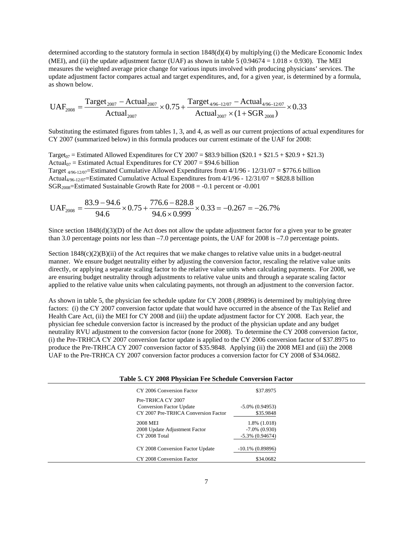determined according to the statutory formula in section 1848(d)(4) by multiplying (i) the Medicare Economic Index (MEI), and (ii) the update adjustment factor (UAF) as shown in table 5 (0.94674 = 1.018  $\times$  0.930). The MEI measures the weighted average price change for various inputs involved with producing physicians' services. The update adjustment factor compares actual and target expenditures, and, for a given year, is determined by a formula, as shown below.

$$
UAF_{2008} = \frac{Target_{2007} - Actual_{2007}}{Actual_{2007}} \times 0.75 + \frac{Target_{4/96-12/07} - Actual_{4/96-12/07}}{Actual_{2007} \times (1 + SGR_{2008})} \times 0.33
$$

Substituting the estimated figures from tables 1, 3, and 4, as well as our current projections of actual expenditures for CY 2007 (summarized below) in this formula produces our current estimate of the UAF for 2008:

Target<sub>07</sub> = Estimated Allowed Expenditures for CY 2007 = \$83.9 billion (\$20.1 + \$21.5 + \$20.9 + \$21.3) Actual<sub>07</sub> = Estimated Actual Expenditures for CY 2007 = \$94.6 billion Target  $4/96-12/07$ =Estimated Cumulative Allowed Expenditures from  $4/1/96 - 12/31/07 = $776.6$  billion Actual<sub>4/96-12/07</sub>=Estimated Cumulative Actual Expenditures from  $4/1/96 - 12/31/07 = $828.8$  billion  $SGR<sub>2008</sub>=Estimated Sustainable Growth Rate for 2008 = -0.1 percent or -0.001$ 

$$
UAF_{2008} = \frac{83.9 - 94.6}{94.6} \times 0.75 + \frac{776.6 - 828.8}{94.6 \times 0.999} \times 0.33 = -0.267 = -26.7\%
$$

Since section  $1848(d)(3)(D)$  of the Act does not allow the update adjustment factor for a given year to be greater than 3.0 percentage points nor less than –7.0 percentage points, the UAF for 2008 is –7.0 percentage points.

Section  $1848(c)(2)(B)(ii)$  of the Act requires that we make changes to relative value units in a budget-neutral manner. We ensure budget neutrality either by adjusting the conversion factor, rescaling the relative value units directly, or applying a separate scaling factor to the relative value units when calculating payments. For 2008, we are ensuring budget neutrality through adjustments to relative value units and through a separate scaling factor applied to the relative value units when calculating payments, not through an adjustment to the conversion factor.

As shown in table 5, the physician fee schedule update for CY 2008 (.89896) is determined by multiplying three factors: (i) the CY 2007 conversion factor update that would have occurred in the absence of the Tax Relief and Health Care Act, (ii) the MEI for CY 2008 and (iii) the update adjustment factor for CY 2008. Each year, the physician fee schedule conversion factor is increased by the product of the physician update and any budget neutrality RVU adjustment to the conversion factor (none for 2008). To determine the CY 2008 conversion factor, (i) the Pre-TRHCA CY 2007 conversion factor update is applied to the CY 2006 conversion factor of \$37.8975 to produce the Pre-TRHCA CY 2007 conversion factor of \$35.9848. Applying (ii) the 2008 MEI and (iii) the 2008 UAF to the Pre-TRHCA CY 2007 conversion factor produces a conversion factor for CY 2008 of \$34.0682.

| Table 5. CY 2008 Physician Fee Schedule Conversion Factor |                     |  |  |
|-----------------------------------------------------------|---------------------|--|--|
| CY 2006 Conversion Factor                                 | \$37.8975           |  |  |
| Pre-TRHCA CY 2007                                         |                     |  |  |
| <b>Conversion Factor Update</b>                           | $-5.0\%$ (0.94953)  |  |  |
| CY 2007 Pre-TRHCA Conversion Factor                       | \$35.9848           |  |  |
| 2008 MEI                                                  | 1.8% (1.018)        |  |  |
| 2008 Update Adjustment Factor                             | $-7.0\%$ (0.930)    |  |  |
| CY 2008 Total                                             | $-5.3\%$ (0.94674)  |  |  |
| CY 2008 Conversion Factor Update                          | $-10.1\%$ (0.89896) |  |  |
| CY 2008 Conversion Factor                                 | \$34.0682           |  |  |